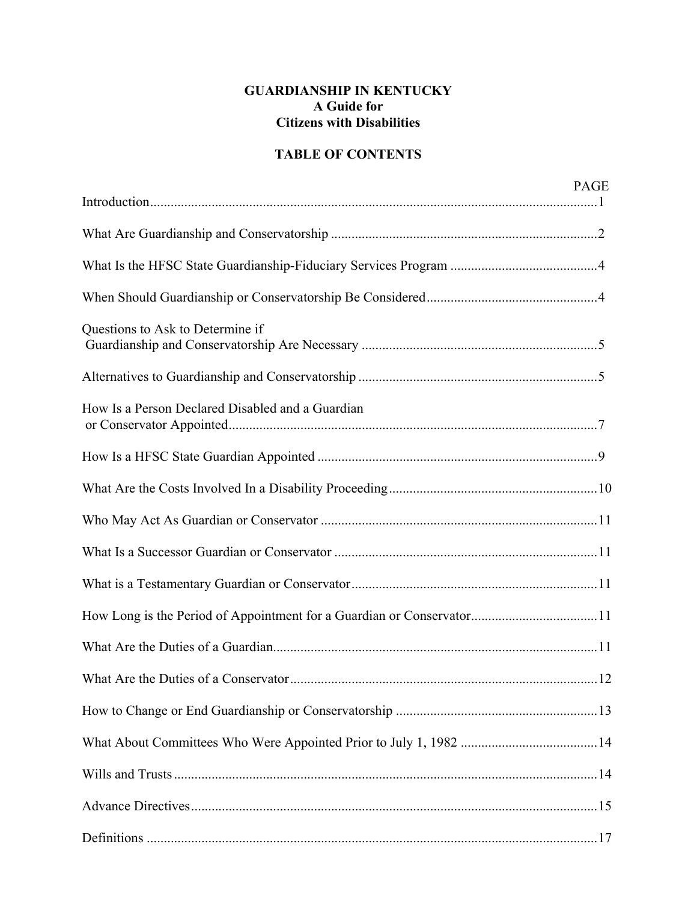# **GUARDIANSHIP IN KENTUCKY A Guide for Citizens with Disabilities**

# **TABLE OF CONTENTS**

|                                                                       | <b>PAGE</b> |
|-----------------------------------------------------------------------|-------------|
|                                                                       |             |
|                                                                       |             |
|                                                                       |             |
|                                                                       |             |
| Questions to Ask to Determine if                                      |             |
|                                                                       |             |
| How Is a Person Declared Disabled and a Guardian                      |             |
|                                                                       |             |
|                                                                       |             |
|                                                                       |             |
|                                                                       |             |
|                                                                       |             |
| How Long is the Period of Appointment for a Guardian or Conservator11 |             |
|                                                                       |             |
|                                                                       |             |
|                                                                       |             |
|                                                                       |             |
|                                                                       |             |
|                                                                       |             |
|                                                                       |             |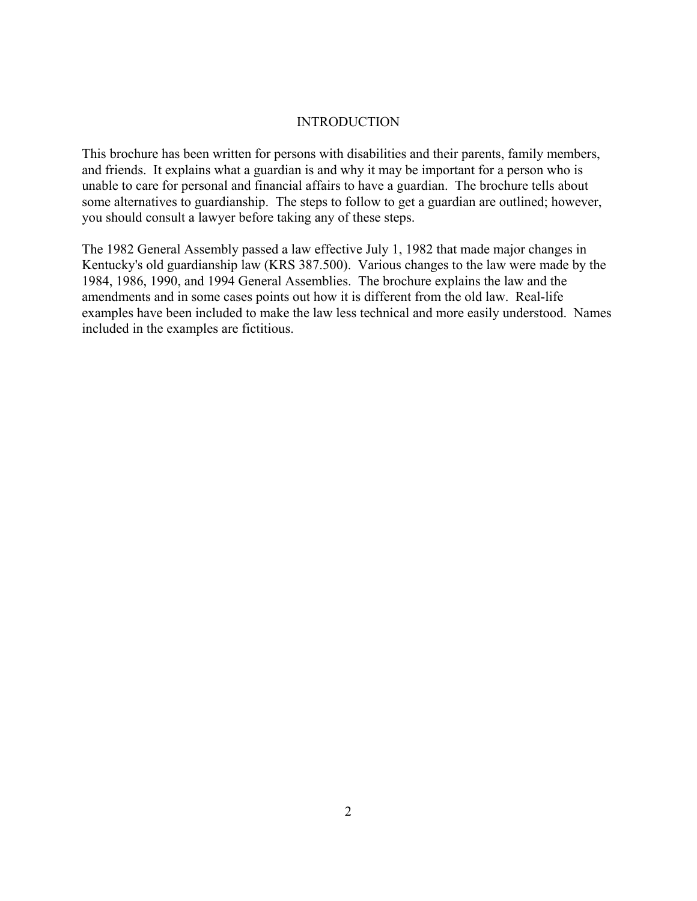#### **INTRODUCTION**

This brochure has been written for persons with disabilities and their parents, family members, and friends. It explains what a guardian is and why it may be important for a person who is unable to care for personal and financial affairs to have a guardian. The brochure tells about some alternatives to guardianship. The steps to follow to get a guardian are outlined; however, you should consult a lawyer before taking any of these steps.

The 1982 General Assembly passed a law effective July 1, 1982 that made major changes in Kentucky's old guardianship law (KRS 387.500). Various changes to the law were made by the 1984, 1986, 1990, and 1994 General Assemblies. The brochure explains the law and the amendments and in some cases points out how it is different from the old law. Real-life examples have been included to make the law less technical and more easily understood. Names included in the examples are fictitious.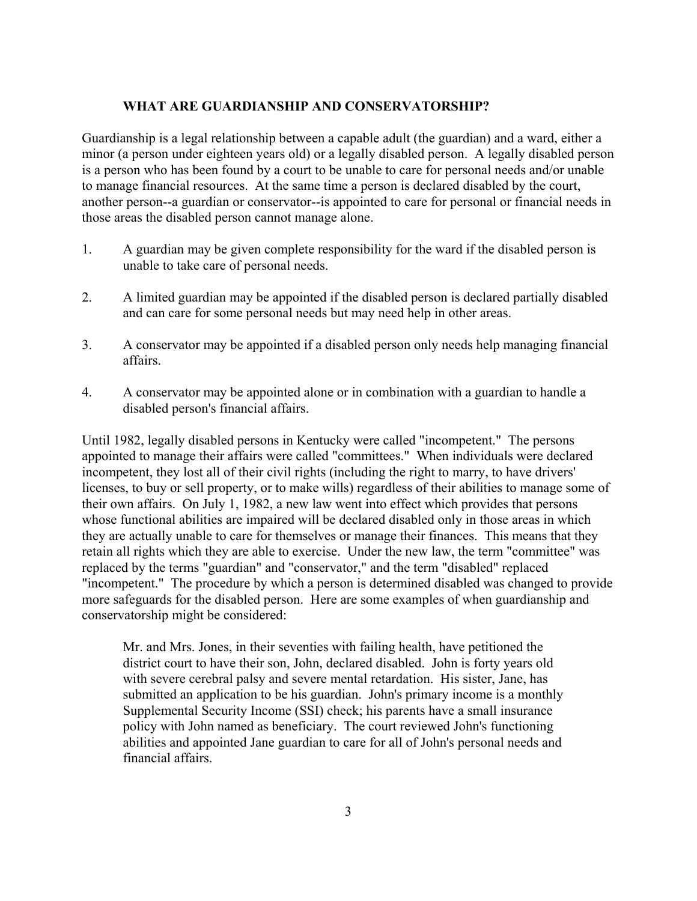#### **WHAT ARE GUARDIANSHIP AND CONSERVATORSHIP?**

Guardianship is a legal relationship between a capable adult (the guardian) and a ward, either a minor (a person under eighteen years old) or a legally disabled person. A legally disabled person is a person who has been found by a court to be unable to care for personal needs and/or unable to manage financial resources. At the same time a person is declared disabled by the court, another person--a guardian or conservator--is appointed to care for personal or financial needs in those areas the disabled person cannot manage alone.

- 1. A guardian may be given complete responsibility for the ward if the disabled person is unable to take care of personal needs.
- 2. A limited guardian may be appointed if the disabled person is declared partially disabled and can care for some personal needs but may need help in other areas.
- 3. A conservator may be appointed if a disabled person only needs help managing financial affairs.
- 4. A conservator may be appointed alone or in combination with a guardian to handle a disabled person's financial affairs.

Until 1982, legally disabled persons in Kentucky were called "incompetent." The persons appointed to manage their affairs were called "committees." When individuals were declared incompetent, they lost all of their civil rights (including the right to marry, to have drivers' licenses, to buy or sell property, or to make wills) regardless of their abilities to manage some of their own affairs. On July 1, 1982, a new law went into effect which provides that persons whose functional abilities are impaired will be declared disabled only in those areas in which they are actually unable to care for themselves or manage their finances. This means that they retain all rights which they are able to exercise. Under the new law, the term "committee" was replaced by the terms "guardian" and "conservator," and the term "disabled" replaced "incompetent." The procedure by which a person is determined disabled was changed to provide more safeguards for the disabled person. Here are some examples of when guardianship and conservatorship might be considered:

Mr. and Mrs. Jones, in their seventies with failing health, have petitioned the district court to have their son, John, declared disabled. John is forty years old with severe cerebral palsy and severe mental retardation. His sister, Jane, has submitted an application to be his guardian. John's primary income is a monthly Supplemental Security Income (SSI) check; his parents have a small insurance policy with John named as beneficiary. The court reviewed John's functioning abilities and appointed Jane guardian to care for all of John's personal needs and financial affairs.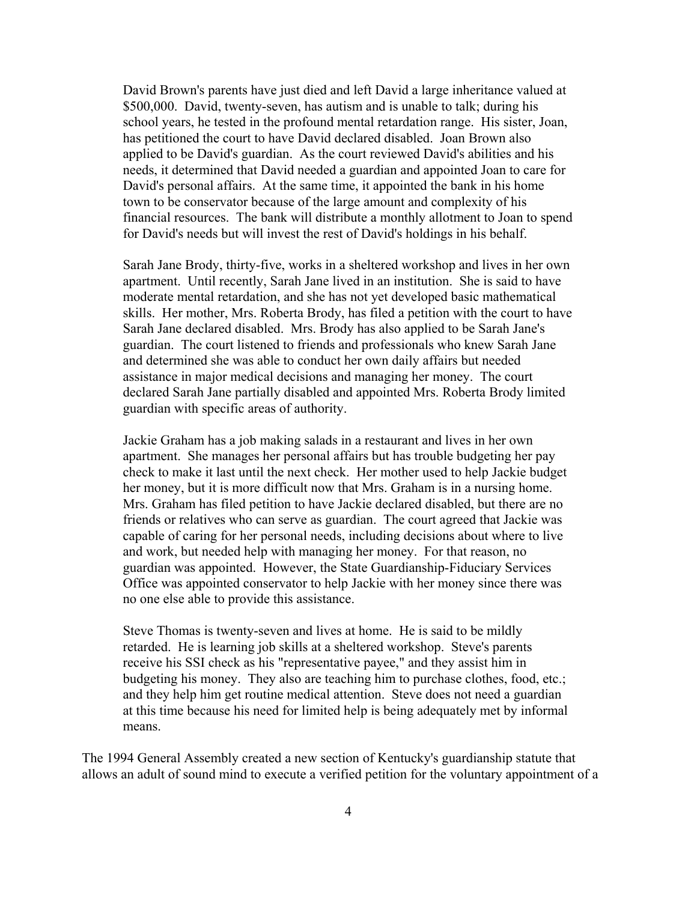David Brown's parents have just died and left David a large inheritance valued at \$500,000. David, twenty-seven, has autism and is unable to talk; during his school years, he tested in the profound mental retardation range. His sister, Joan, has petitioned the court to have David declared disabled. Joan Brown also applied to be David's guardian. As the court reviewed David's abilities and his needs, it determined that David needed a guardian and appointed Joan to care for David's personal affairs. At the same time, it appointed the bank in his home town to be conservator because of the large amount and complexity of his financial resources. The bank will distribute a monthly allotment to Joan to spend for David's needs but will invest the rest of David's holdings in his behalf.

Sarah Jane Brody, thirty-five, works in a sheltered workshop and lives in her own apartment. Until recently, Sarah Jane lived in an institution. She is said to have moderate mental retardation, and she has not yet developed basic mathematical skills. Her mother, Mrs. Roberta Brody, has filed a petition with the court to have Sarah Jane declared disabled. Mrs. Brody has also applied to be Sarah Jane's guardian. The court listened to friends and professionals who knew Sarah Jane and determined she was able to conduct her own daily affairs but needed assistance in major medical decisions and managing her money. The court declared Sarah Jane partially disabled and appointed Mrs. Roberta Brody limited guardian with specific areas of authority.

Jackie Graham has a job making salads in a restaurant and lives in her own apartment. She manages her personal affairs but has trouble budgeting her pay check to make it last until the next check. Her mother used to help Jackie budget her money, but it is more difficult now that Mrs. Graham is in a nursing home. Mrs. Graham has filed petition to have Jackie declared disabled, but there are no friends or relatives who can serve as guardian. The court agreed that Jackie was capable of caring for her personal needs, including decisions about where to live and work, but needed help with managing her money. For that reason, no guardian was appointed. However, the State Guardianship-Fiduciary Services Office was appointed conservator to help Jackie with her money since there was no one else able to provide this assistance.

Steve Thomas is twenty-seven and lives at home. He is said to be mildly retarded. He is learning job skills at a sheltered workshop. Steve's parents receive his SSI check as his "representative payee," and they assist him in budgeting his money. They also are teaching him to purchase clothes, food, etc.; and they help him get routine medical attention. Steve does not need a guardian at this time because his need for limited help is being adequately met by informal means.

The 1994 General Assembly created a new section of Kentucky's guardianship statute that allows an adult of sound mind to execute a verified petition for the voluntary appointment of a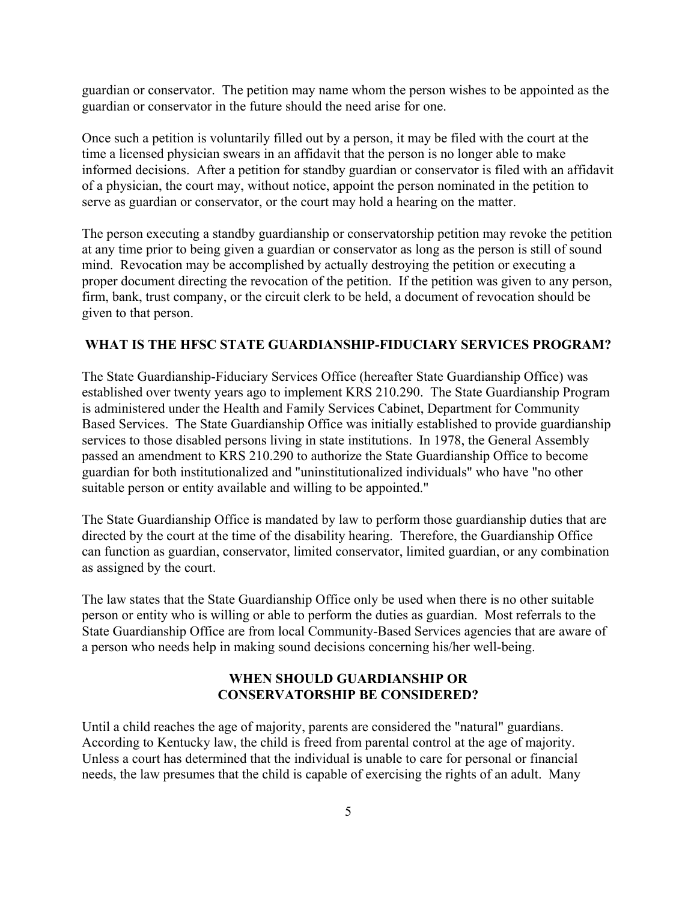guardian or conservator. The petition may name whom the person wishes to be appointed as the guardian or conservator in the future should the need arise for one.

Once such a petition is voluntarily filled out by a person, it may be filed with the court at the time a licensed physician swears in an affidavit that the person is no longer able to make informed decisions. After a petition for standby guardian or conservator is filed with an affidavit of a physician, the court may, without notice, appoint the person nominated in the petition to serve as guardian or conservator, or the court may hold a hearing on the matter.

The person executing a standby guardianship or conservatorship petition may revoke the petition at any time prior to being given a guardian or conservator as long as the person is still of sound mind. Revocation may be accomplished by actually destroying the petition or executing a proper document directing the revocation of the petition. If the petition was given to any person, firm, bank, trust company, or the circuit clerk to be held, a document of revocation should be given to that person.

#### **WHAT IS THE HFSC STATE GUARDIANSHIP-FIDUCIARY SERVICES PROGRAM?**

The State Guardianship-Fiduciary Services Office (hereafter State Guardianship Office) was established over twenty years ago to implement KRS 210.290. The State Guardianship Program is administered under the Health and Family Services Cabinet, Department for Community Based Services. The State Guardianship Office was initially established to provide guardianship services to those disabled persons living in state institutions. In 1978, the General Assembly passed an amendment to KRS 210.290 to authorize the State Guardianship Office to become guardian for both institutionalized and "uninstitutionalized individuals" who have "no other suitable person or entity available and willing to be appointed."

The State Guardianship Office is mandated by law to perform those guardianship duties that are directed by the court at the time of the disability hearing. Therefore, the Guardianship Office can function as guardian, conservator, limited conservator, limited guardian, or any combination as assigned by the court.

The law states that the State Guardianship Office only be used when there is no other suitable person or entity who is willing or able to perform the duties as guardian. Most referrals to the State Guardianship Office are from local Community-Based Services agencies that are aware of a person who needs help in making sound decisions concerning his/her well-being.

# **WHEN SHOULD GUARDIANSHIP OR CONSERVATORSHIP BE CONSIDERED?**

Until a child reaches the age of majority, parents are considered the "natural" guardians. According to Kentucky law, the child is freed from parental control at the age of majority. Unless a court has determined that the individual is unable to care for personal or financial needs, the law presumes that the child is capable of exercising the rights of an adult. Many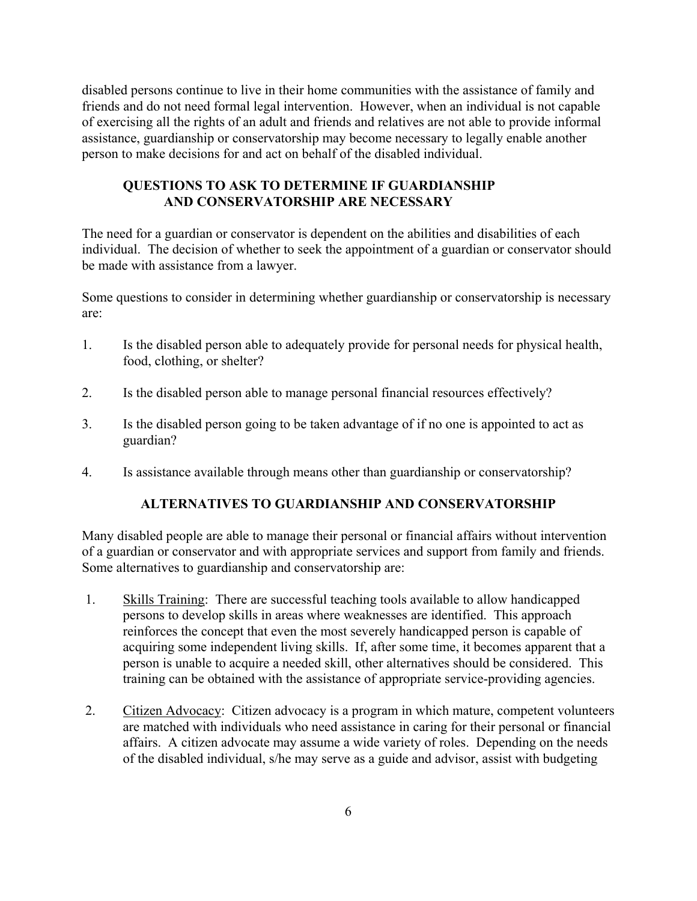disabled persons continue to live in their home communities with the assistance of family and friends and do not need formal legal intervention. However, when an individual is not capable of exercising all the rights of an adult and friends and relatives are not able to provide informal assistance, guardianship or conservatorship may become necessary to legally enable another person to make decisions for and act on behalf of the disabled individual.

# **QUESTIONS TO ASK TO DETERMINE IF GUARDIANSHIP AND CONSERVATORSHIP ARE NECESSARY**

The need for a guardian or conservator is dependent on the abilities and disabilities of each individual. The decision of whether to seek the appointment of a guardian or conservator should be made with assistance from a lawyer.

Some questions to consider in determining whether guardianship or conservatorship is necessary are:

- 1. Is the disabled person able to adequately provide for personal needs for physical health, food, clothing, or shelter?
- 2. Is the disabled person able to manage personal financial resources effectively?
- 3. Is the disabled person going to be taken advantage of if no one is appointed to act as guardian?
- 4. Is assistance available through means other than guardianship or conservatorship?

# **ALTERNATIVES TO GUARDIANSHIP AND CONSERVATORSHIP**

Many disabled people are able to manage their personal or financial affairs without intervention of a guardian or conservator and with appropriate services and support from family and friends. Some alternatives to guardianship and conservatorship are:

- 1. Skills Training: There are successful teaching tools available to allow handicapped persons to develop skills in areas where weaknesses are identified. This approach reinforces the concept that even the most severely handicapped person is capable of acquiring some independent living skills. If, after some time, it becomes apparent that a person is unable to acquire a needed skill, other alternatives should be considered. This training can be obtained with the assistance of appropriate service-providing agencies.
- 2. Citizen Advocacy: Citizen advocacy is a program in which mature, competent volunteers are matched with individuals who need assistance in caring for their personal or financial affairs. A citizen advocate may assume a wide variety of roles. Depending on the needs of the disabled individual, s/he may serve as a guide and advisor, assist with budgeting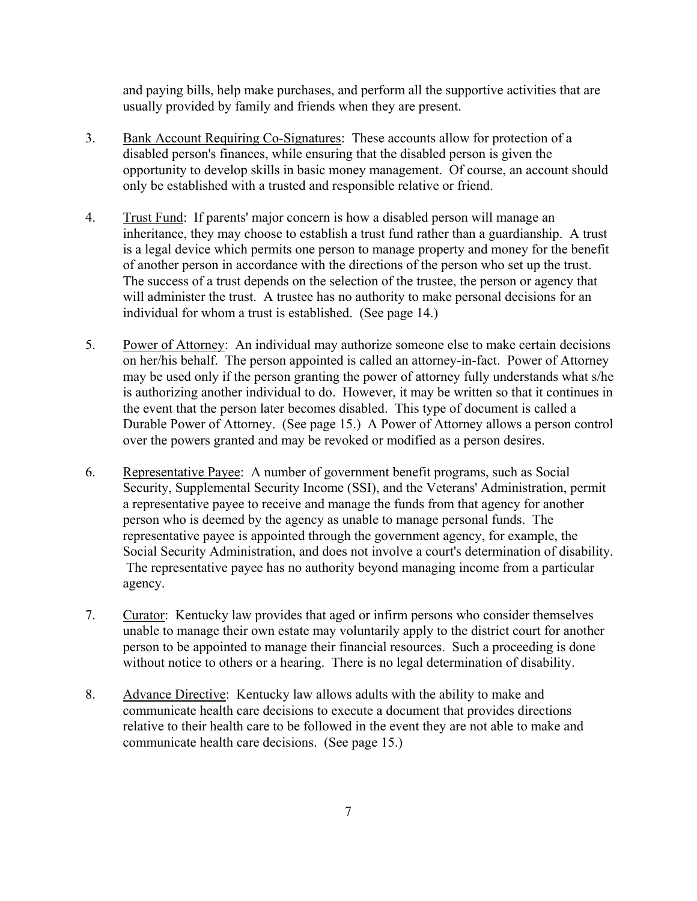and paying bills, help make purchases, and perform all the supportive activities that are usually provided by family and friends when they are present.

- 3. Bank Account Requiring Co-Signatures: These accounts allow for protection of a disabled person's finances, while ensuring that the disabled person is given the opportunity to develop skills in basic money management. Of course, an account should only be established with a trusted and responsible relative or friend.
- 4. Trust Fund: If parents' major concern is how a disabled person will manage an inheritance, they may choose to establish a trust fund rather than a guardianship. A trust is a legal device which permits one person to manage property and money for the benefit of another person in accordance with the directions of the person who set up the trust. The success of a trust depends on the selection of the trustee, the person or agency that will administer the trust. A trustee has no authority to make personal decisions for an individual for whom a trust is established. (See page 14.)
- 5. Power of Attorney: An individual may authorize someone else to make certain decisions on her/his behalf. The person appointed is called an attorney-in-fact. Power of Attorney may be used only if the person granting the power of attorney fully understands what s/he is authorizing another individual to do. However, it may be written so that it continues in the event that the person later becomes disabled. This type of document is called a Durable Power of Attorney. (See page 15.) A Power of Attorney allows a person control over the powers granted and may be revoked or modified as a person desires.
- 6. Representative Payee: A number of government benefit programs, such as Social Security, Supplemental Security Income (SSI), and the Veterans' Administration, permit a representative payee to receive and manage the funds from that agency for another person who is deemed by the agency as unable to manage personal funds. The representative payee is appointed through the government agency, for example, the Social Security Administration, and does not involve a court's determination of disability. The representative payee has no authority beyond managing income from a particular agency.
- 7. Curator: Kentucky law provides that aged or infirm persons who consider themselves unable to manage their own estate may voluntarily apply to the district court for another person to be appointed to manage their financial resources. Such a proceeding is done without notice to others or a hearing. There is no legal determination of disability.
- 8. Advance Directive: Kentucky law allows adults with the ability to make and communicate health care decisions to execute a document that provides directions relative to their health care to be followed in the event they are not able to make and communicate health care decisions. (See page 15.)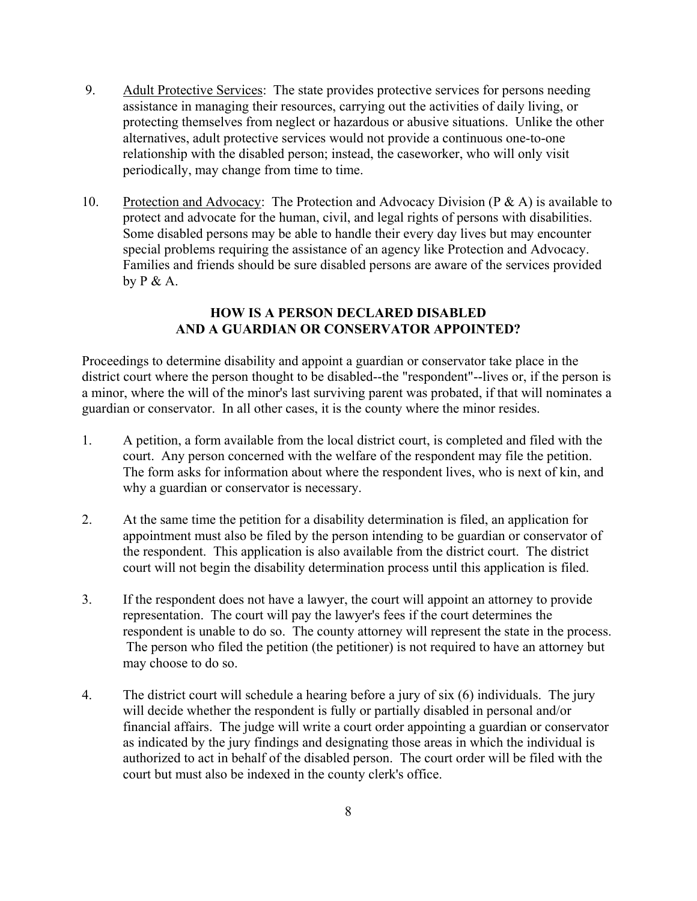- 9. Adult Protective Services: The state provides protective services for persons needing assistance in managing their resources, carrying out the activities of daily living, or protecting themselves from neglect or hazardous or abusive situations. Unlike the other alternatives, adult protective services would not provide a continuous one-to-one relationship with the disabled person; instead, the caseworker, who will only visit periodically, may change from time to time.
- 10. Protection and Advocacy: The Protection and Advocacy Division (P & A) is available to protect and advocate for the human, civil, and legal rights of persons with disabilities. Some disabled persons may be able to handle their every day lives but may encounter special problems requiring the assistance of an agency like Protection and Advocacy. Families and friends should be sure disabled persons are aware of the services provided by  $P \& A$ .

# **HOW IS A PERSON DECLARED DISABLED AND A GUARDIAN OR CONSERVATOR APPOINTED?**

Proceedings to determine disability and appoint a guardian or conservator take place in the district court where the person thought to be disabled--the "respondent"--lives or, if the person is a minor, where the will of the minor's last surviving parent was probated, if that will nominates a guardian or conservator. In all other cases, it is the county where the minor resides.

- 1. A petition, a form available from the local district court, is completed and filed with the court. Any person concerned with the welfare of the respondent may file the petition. The form asks for information about where the respondent lives, who is next of kin, and why a guardian or conservator is necessary.
- 2. At the same time the petition for a disability determination is filed, an application for appointment must also be filed by the person intending to be guardian or conservator of the respondent. This application is also available from the district court. The district court will not begin the disability determination process until this application is filed.
- 3. If the respondent does not have a lawyer, the court will appoint an attorney to provide representation. The court will pay the lawyer's fees if the court determines the respondent is unable to do so. The county attorney will represent the state in the process. The person who filed the petition (the petitioner) is not required to have an attorney but may choose to do so.
- 4. The district court will schedule a hearing before a jury of six (6) individuals. The jury will decide whether the respondent is fully or partially disabled in personal and/or financial affairs. The judge will write a court order appointing a guardian or conservator as indicated by the jury findings and designating those areas in which the individual is authorized to act in behalf of the disabled person. The court order will be filed with the court but must also be indexed in the county clerk's office.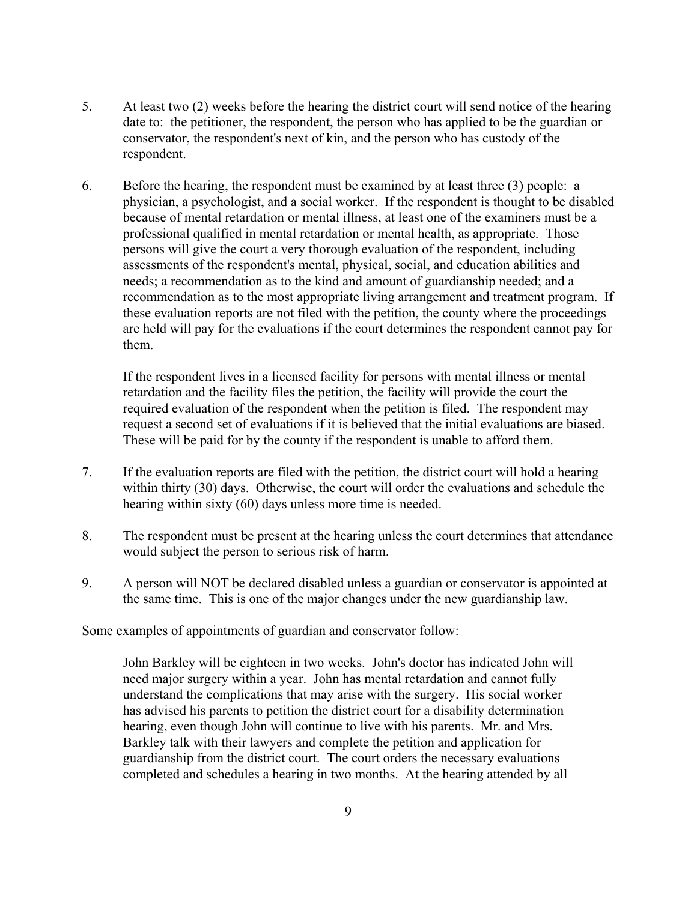- 5. At least two (2) weeks before the hearing the district court will send notice of the hearing date to: the petitioner, the respondent, the person who has applied to be the guardian or conservator, the respondent's next of kin, and the person who has custody of the respondent.
- 6. Before the hearing, the respondent must be examined by at least three (3) people: a physician, a psychologist, and a social worker. If the respondent is thought to be disabled because of mental retardation or mental illness, at least one of the examiners must be a professional qualified in mental retardation or mental health, as appropriate. Those persons will give the court a very thorough evaluation of the respondent, including assessments of the respondent's mental, physical, social, and education abilities and needs; a recommendation as to the kind and amount of guardianship needed; and a recommendation as to the most appropriate living arrangement and treatment program. If these evaluation reports are not filed with the petition, the county where the proceedings are held will pay for the evaluations if the court determines the respondent cannot pay for them.

If the respondent lives in a licensed facility for persons with mental illness or mental retardation and the facility files the petition, the facility will provide the court the required evaluation of the respondent when the petition is filed. The respondent may request a second set of evaluations if it is believed that the initial evaluations are biased. These will be paid for by the county if the respondent is unable to afford them.

- 7. If the evaluation reports are filed with the petition, the district court will hold a hearing within thirty (30) days. Otherwise, the court will order the evaluations and schedule the hearing within sixty (60) days unless more time is needed.
- 8. The respondent must be present at the hearing unless the court determines that attendance would subject the person to serious risk of harm.
- 9. A person will NOT be declared disabled unless a guardian or conservator is appointed at the same time. This is one of the major changes under the new guardianship law.

Some examples of appointments of guardian and conservator follow:

John Barkley will be eighteen in two weeks. John's doctor has indicated John will need major surgery within a year. John has mental retardation and cannot fully understand the complications that may arise with the surgery. His social worker has advised his parents to petition the district court for a disability determination hearing, even though John will continue to live with his parents. Mr. and Mrs. Barkley talk with their lawyers and complete the petition and application for guardianship from the district court. The court orders the necessary evaluations completed and schedules a hearing in two months. At the hearing attended by all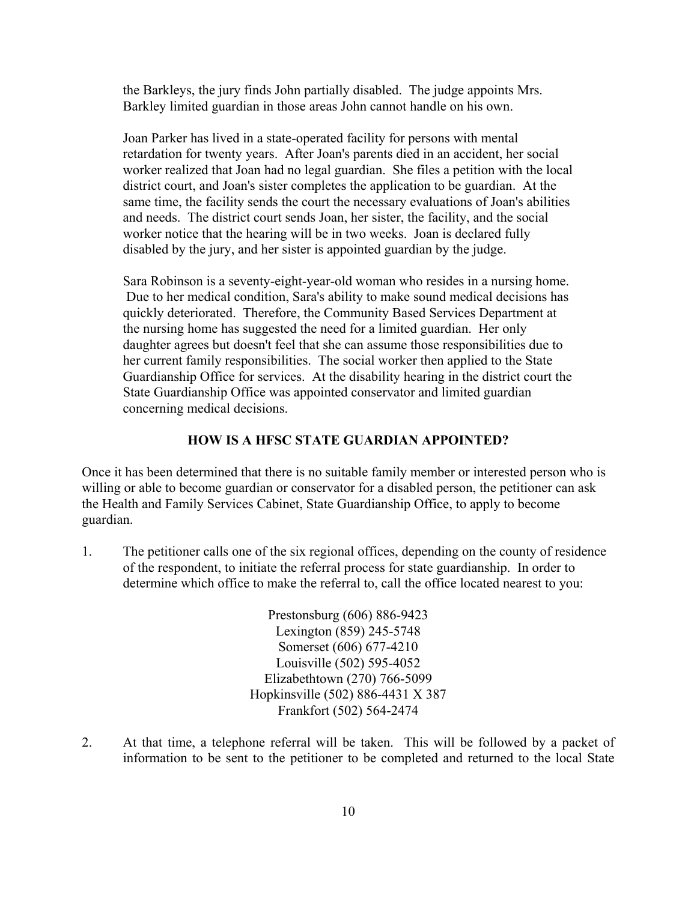the Barkleys, the jury finds John partially disabled. The judge appoints Mrs. Barkley limited guardian in those areas John cannot handle on his own.

Joan Parker has lived in a state-operated facility for persons with mental retardation for twenty years. After Joan's parents died in an accident, her social worker realized that Joan had no legal guardian. She files a petition with the local district court, and Joan's sister completes the application to be guardian. At the same time, the facility sends the court the necessary evaluations of Joan's abilities and needs. The district court sends Joan, her sister, the facility, and the social worker notice that the hearing will be in two weeks. Joan is declared fully disabled by the jury, and her sister is appointed guardian by the judge.

Sara Robinson is a seventy-eight-year-old woman who resides in a nursing home. Due to her medical condition, Sara's ability to make sound medical decisions has quickly deteriorated. Therefore, the Community Based Services Department at the nursing home has suggested the need for a limited guardian. Her only daughter agrees but doesn't feel that she can assume those responsibilities due to her current family responsibilities. The social worker then applied to the State Guardianship Office for services. At the disability hearing in the district court the State Guardianship Office was appointed conservator and limited guardian concerning medical decisions.

## **HOW IS A HFSC STATE GUARDIAN APPOINTED?**

Once it has been determined that there is no suitable family member or interested person who is willing or able to become guardian or conservator for a disabled person, the petitioner can ask the Health and Family Services Cabinet, State Guardianship Office, to apply to become guardian.

1. The petitioner calls one of the six regional offices, depending on the county of residence of the respondent, to initiate the referral process for state guardianship. In order to determine which office to make the referral to, call the office located nearest to you:

> Prestonsburg (606) 886-9423 Lexington (859) 245-5748 Somerset (606) 677-4210 Louisville (502) 595-4052 Elizabethtown (270) 766-5099 Hopkinsville (502) 886-4431 X 387 Frankfort (502) 564-2474

2. At that time, a telephone referral will be taken. This will be followed by a packet of information to be sent to the petitioner to be completed and returned to the local State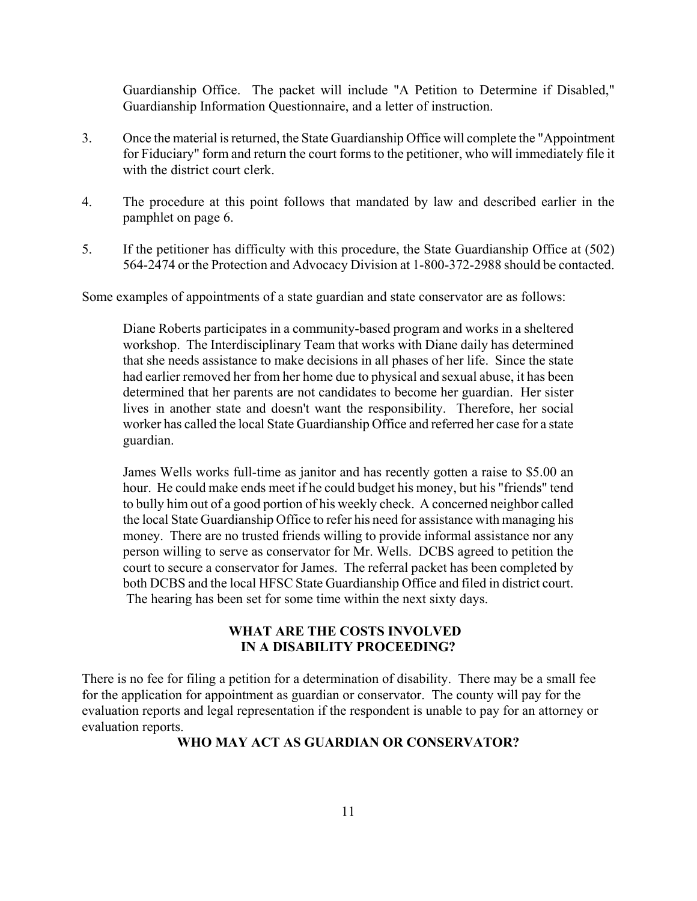Guardianship Office. The packet will include "A Petition to Determine if Disabled," Guardianship Information Questionnaire, and a letter of instruction.

- 3. Once the material is returned, the State Guardianship Office will complete the "Appointment for Fiduciary" form and return the court forms to the petitioner, who will immediately file it with the district court clerk.
- 4. The procedure at this point follows that mandated by law and described earlier in the pamphlet on page 6.
- 5. If the petitioner has difficulty with this procedure, the State Guardianship Office at (502) 564-2474 or the Protection and Advocacy Division at 1-800-372-2988 should be contacted.

Some examples of appointments of a state guardian and state conservator are as follows:

Diane Roberts participates in a community-based program and works in a sheltered workshop. The Interdisciplinary Team that works with Diane daily has determined that she needs assistance to make decisions in all phases of her life. Since the state had earlier removed her from her home due to physical and sexual abuse, it has been determined that her parents are not candidates to become her guardian. Her sister lives in another state and doesn't want the responsibility. Therefore, her social worker has called the local State Guardianship Office and referred her case for a state guardian.

James Wells works full-time as janitor and has recently gotten a raise to \$5.00 an hour. He could make ends meet if he could budget his money, but his "friends" tend to bully him out of a good portion of his weekly check. A concerned neighbor called the local State Guardianship Office to refer his need for assistance with managing his money. There are no trusted friends willing to provide informal assistance nor any person willing to serve as conservator for Mr. Wells. DCBS agreed to petition the court to secure a conservator for James. The referral packet has been completed by both DCBS and the local HFSC State Guardianship Office and filed in district court. The hearing has been set for some time within the next sixty days.

# **WHAT ARE THE COSTS INVOLVED IN A DISABILITY PROCEEDING?**

There is no fee for filing a petition for a determination of disability. There may be a small fee for the application for appointment as guardian or conservator. The county will pay for the evaluation reports and legal representation if the respondent is unable to pay for an attorney or evaluation reports.

## **WHO MAY ACT AS GUARDIAN OR CONSERVATOR?**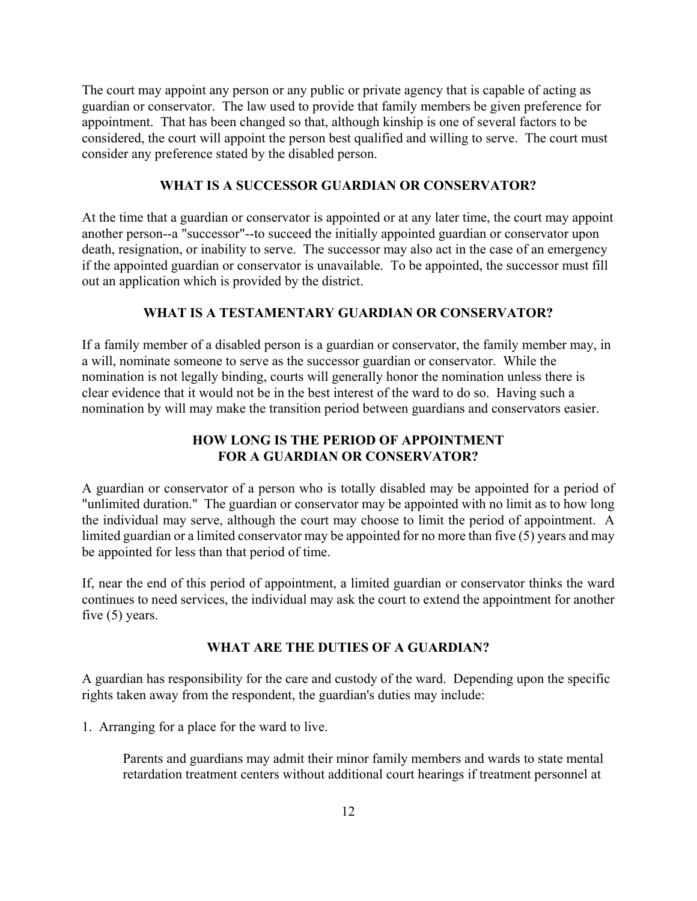The court may appoint any person or any public or private agency that is capable of acting as guardian or conservator. The law used to provide that family members be given preference for appointment. That has been changed so that, although kinship is one of several factors to be considered, the court will appoint the person best qualified and willing to serve. The court must consider any preference stated by the disabled person.

## **WHAT IS A SUCCESSOR GUARDIAN OR CONSERVATOR?**

At the time that a guardian or conservator is appointed or at any later time, the court may appoint another person--a "successor"--to succeed the initially appointed guardian or conservator upon death, resignation, or inability to serve. The successor may also act in the case of an emergency if the appointed guardian or conservator is unavailable. To be appointed, the successor must fill out an application which is provided by the district.

## **WHAT IS A TESTAMENTARY GUARDIAN OR CONSERVATOR?**

If a family member of a disabled person is a guardian or conservator, the family member may, in a will, nominate someone to serve as the successor guardian or conservator. While the nomination is not legally binding, courts will generally honor the nomination unless there is clear evidence that it would not be in the best interest of the ward to do so. Having such a nomination by will may make the transition period between guardians and conservators easier.

## **HOW LONG IS THE PERIOD OF APPOINTMENT FOR A GUARDIAN OR CONSERVATOR?**

A guardian or conservator of a person who is totally disabled may be appointed for a period of "unlimited duration." The guardian or conservator may be appointed with no limit as to how long the individual may serve, although the court may choose to limit the period of appointment. A limited guardian or a limited conservator may be appointed for no more than five (5) years and may be appointed for less than that period of time.

If, near the end of this period of appointment, a limited guardian or conservator thinks the ward continues to need services, the individual may ask the court to extend the appointment for another five (5) years.

## **WHAT ARE THE DUTIES OF A GUARDIAN?**

A guardian has responsibility for the care and custody of the ward. Depending upon the specific rights taken away from the respondent, the guardian's duties may include:

1. Arranging for a place for the ward to live.

Parents and guardians may admit their minor family members and wards to state mental retardation treatment centers without additional court hearings if treatment personnel at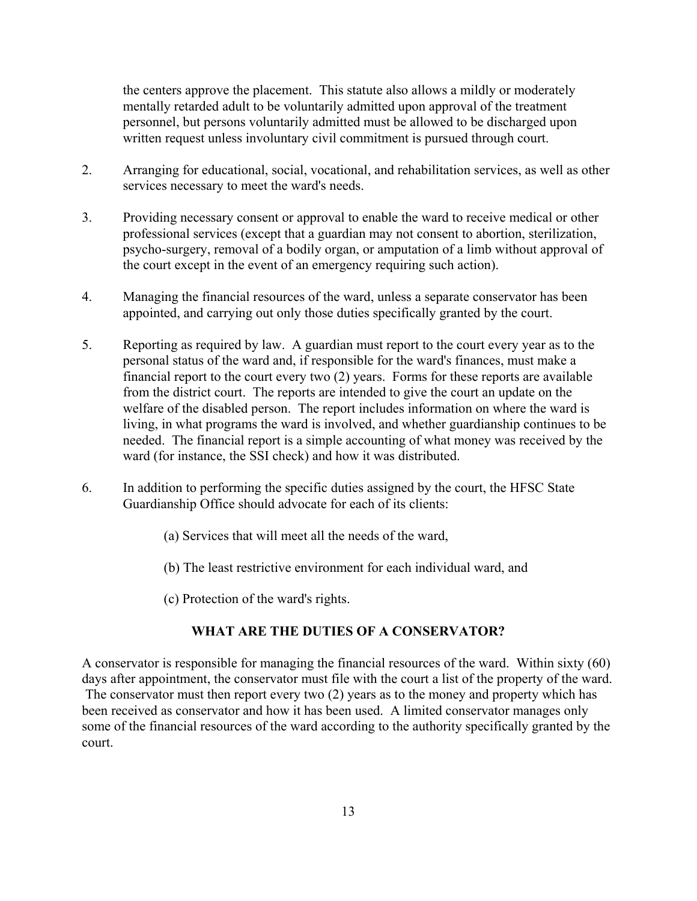the centers approve the placement. This statute also allows a mildly or moderately mentally retarded adult to be voluntarily admitted upon approval of the treatment personnel, but persons voluntarily admitted must be allowed to be discharged upon written request unless involuntary civil commitment is pursued through court.

- 2. Arranging for educational, social, vocational, and rehabilitation services, as well as other services necessary to meet the ward's needs.
- 3. Providing necessary consent or approval to enable the ward to receive medical or other professional services (except that a guardian may not consent to abortion, sterilization, psycho-surgery, removal of a bodily organ, or amputation of a limb without approval of the court except in the event of an emergency requiring such action).
- 4. Managing the financial resources of the ward, unless a separate conservator has been appointed, and carrying out only those duties specifically granted by the court.
- 5. Reporting as required by law. A guardian must report to the court every year as to the personal status of the ward and, if responsible for the ward's finances, must make a financial report to the court every two (2) years. Forms for these reports are available from the district court. The reports are intended to give the court an update on the welfare of the disabled person. The report includes information on where the ward is living, in what programs the ward is involved, and whether guardianship continues to be needed. The financial report is a simple accounting of what money was received by the ward (for instance, the SSI check) and how it was distributed.
- 6. In addition to performing the specific duties assigned by the court, the HFSC State Guardianship Office should advocate for each of its clients:
	- (a) Services that will meet all the needs of the ward,
	- (b) The least restrictive environment for each individual ward, and
	- (c) Protection of the ward's rights.

## **WHAT ARE THE DUTIES OF A CONSERVATOR?**

A conservator is responsible for managing the financial resources of the ward. Within sixty (60) days after appointment, the conservator must file with the court a list of the property of the ward. The conservator must then report every two (2) years as to the money and property which has been received as conservator and how it has been used. A limited conservator manages only some of the financial resources of the ward according to the authority specifically granted by the court.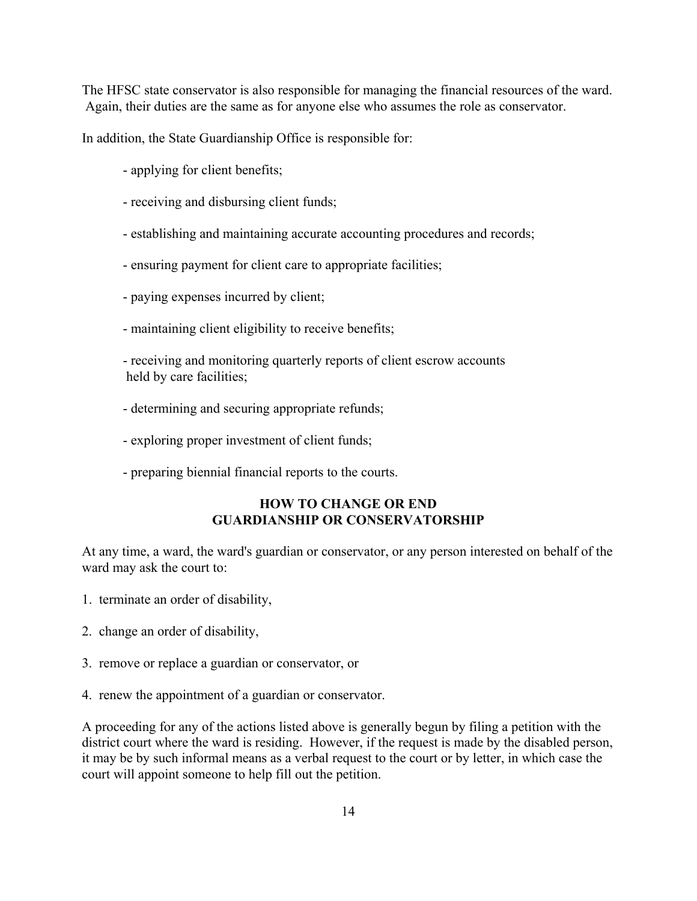The HFSC state conservator is also responsible for managing the financial resources of the ward. Again, their duties are the same as for anyone else who assumes the role as conservator.

In addition, the State Guardianship Office is responsible for:

- applying for client benefits;
- receiving and disbursing client funds;
- establishing and maintaining accurate accounting procedures and records;
- ensuring payment for client care to appropriate facilities;
- paying expenses incurred by client;
- maintaining client eligibility to receive benefits;
- receiving and monitoring quarterly reports of client escrow accounts held by care facilities;
- determining and securing appropriate refunds;
- exploring proper investment of client funds;
- preparing biennial financial reports to the courts.

# **HOW TO CHANGE OR END GUARDIANSHIP OR CONSERVATORSHIP**

At any time, a ward, the ward's guardian or conservator, or any person interested on behalf of the ward may ask the court to:

- 1. terminate an order of disability,
- 2. change an order of disability,
- 3. remove or replace a guardian or conservator, or
- 4. renew the appointment of a guardian or conservator.

A proceeding for any of the actions listed above is generally begun by filing a petition with the district court where the ward is residing. However, if the request is made by the disabled person, it may be by such informal means as a verbal request to the court or by letter, in which case the court will appoint someone to help fill out the petition.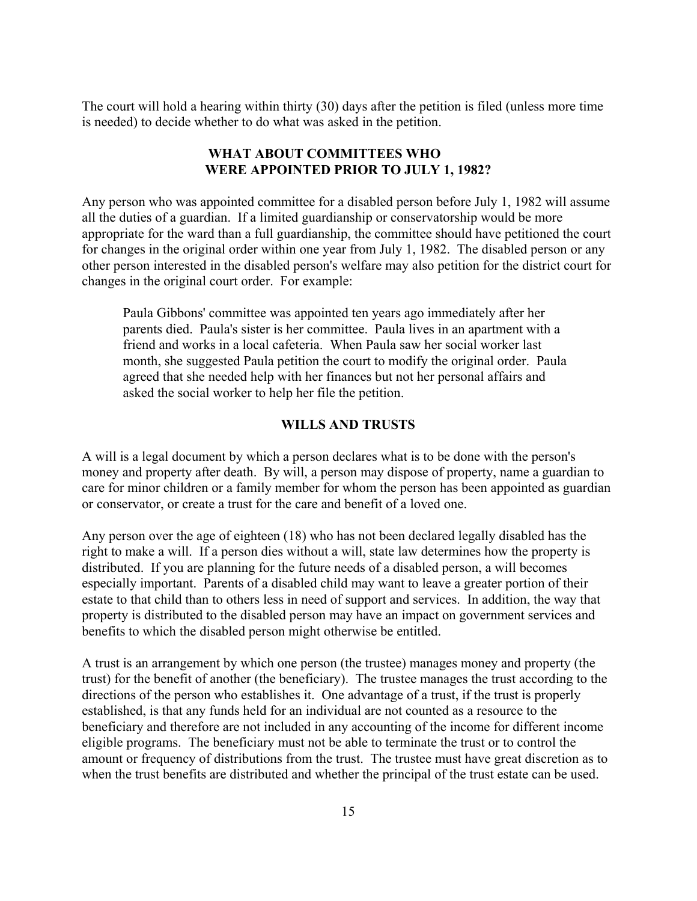The court will hold a hearing within thirty (30) days after the petition is filed (unless more time is needed) to decide whether to do what was asked in the petition.

## **WHAT ABOUT COMMITTEES WHO WERE APPOINTED PRIOR TO JULY 1, 1982?**

Any person who was appointed committee for a disabled person before July 1, 1982 will assume all the duties of a guardian. If a limited guardianship or conservatorship would be more appropriate for the ward than a full guardianship, the committee should have petitioned the court for changes in the original order within one year from July 1, 1982. The disabled person or any other person interested in the disabled person's welfare may also petition for the district court for changes in the original court order. For example:

Paula Gibbons' committee was appointed ten years ago immediately after her parents died. Paula's sister is her committee. Paula lives in an apartment with a friend and works in a local cafeteria. When Paula saw her social worker last month, she suggested Paula petition the court to modify the original order. Paula agreed that she needed help with her finances but not her personal affairs and asked the social worker to help her file the petition.

#### **WILLS AND TRUSTS**

A will is a legal document by which a person declares what is to be done with the person's money and property after death. By will, a person may dispose of property, name a guardian to care for minor children or a family member for whom the person has been appointed as guardian or conservator, or create a trust for the care and benefit of a loved one.

Any person over the age of eighteen (18) who has not been declared legally disabled has the right to make a will. If a person dies without a will, state law determines how the property is distributed. If you are planning for the future needs of a disabled person, a will becomes especially important. Parents of a disabled child may want to leave a greater portion of their estate to that child than to others less in need of support and services. In addition, the way that property is distributed to the disabled person may have an impact on government services and benefits to which the disabled person might otherwise be entitled.

A trust is an arrangement by which one person (the trustee) manages money and property (the trust) for the benefit of another (the beneficiary). The trustee manages the trust according to the directions of the person who establishes it. One advantage of a trust, if the trust is properly established, is that any funds held for an individual are not counted as a resource to the beneficiary and therefore are not included in any accounting of the income for different income eligible programs. The beneficiary must not be able to terminate the trust or to control the amount or frequency of distributions from the trust. The trustee must have great discretion as to when the trust benefits are distributed and whether the principal of the trust estate can be used.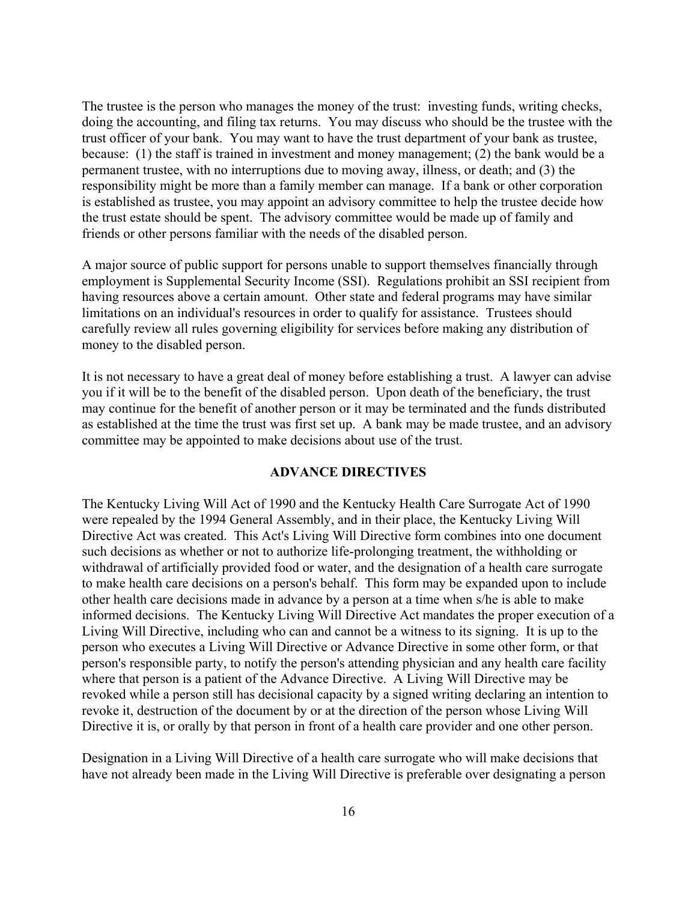The trustee is the person who manages the money of the trust: investing funds, writing checks, doing the accounting, and filing tax returns. You may discuss who should be the trustee with the trust officer of your bank. You may want to have the trust department of your bank as trustee, because: (1) the staff is trained in investment and money management; (2) the bank would be a permanent trustee, with no interruptions due to moving away, illness, or death; and (3) the responsibility might be more than a family member can manage. If a bank or other corporation is established as trustee, you may appoint an advisory committee to help the trustee decide how the trust estate should be spent. The advisory committee would be made up of family and friends or other persons familiar with the needs of the disabled person.

A major source of public support for persons unable to support themselves financially through employment is Supplemental Security Income (SSI). Regulations prohibit an SSI recipient from having resources above a certain amount. Other state and federal programs may have similar limitations on an individual's resources in order to qualify for assistance. Trustees should carefully review all rules governing eligibility for services before making any distribution of money to the disabled person.

It is not necessary to have a great deal of money before establishing a trust. A lawyer can advise you if it will be to the benefit of the disabled person. Upon death of the beneficiary, the trust may continue for the benefit of another person or it may be terminated and the funds distributed as established at the time the trust was first set up. A bank may be made trustee, and an advisory committee may be appointed to make decisions about use of the trust.

#### **ADVANCE DIRECTIVES**

The Kentucky Living Will Act of 1990 and the Kentucky Health Care Surrogate Act of 1990 were repealed by the 1994 General Assembly, and in their place, the Kentucky Living Will Directive Act was created. This Act's Living Will Directive form combines into one document such decisions as whether or not to authorize life-prolonging treatment, the withholding or withdrawal of artificially provided food or water, and the designation of a health care surrogate to make health care decisions on a person's behalf. This form may be expanded upon to include other health care decisions made in advance by a person at a time when s/he is able to make informed decisions. The Kentucky Living Will Directive Act mandates the proper execution of a Living Will Directive, including who can and cannot be a witness to its signing. It is up to the person who executes a Living Will Directive or Advance Directive in some other form, or that person's responsible party, to notify the person's attending physician and any health care facility where that person is a patient of the Advance Directive. A Living Will Directive may be revoked while a person still has decisional capacity by a signed writing declaring an intention to revoke it, destruction of the document by or at the direction of the person whose Living Will Directive it is, or orally by that person in front of a health care provider and one other person.

Designation in a Living Will Directive of a health care surrogate who will make decisions that have not already been made in the Living Will Directive is preferable over designating a person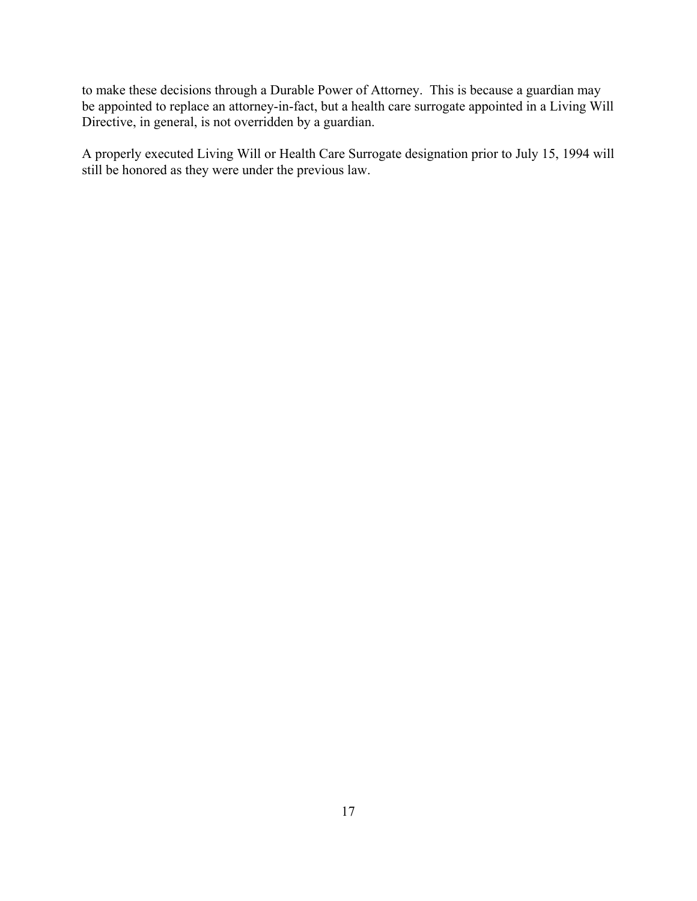to make these decisions through a Durable Power of Attorney. This is because a guardian may be appointed to replace an attorney-in-fact, but a health care surrogate appointed in a Living Will Directive, in general, is not overridden by a guardian.

A properly executed Living Will or Health Care Surrogate designation prior to July 15, 1994 will still be honored as they were under the previous law.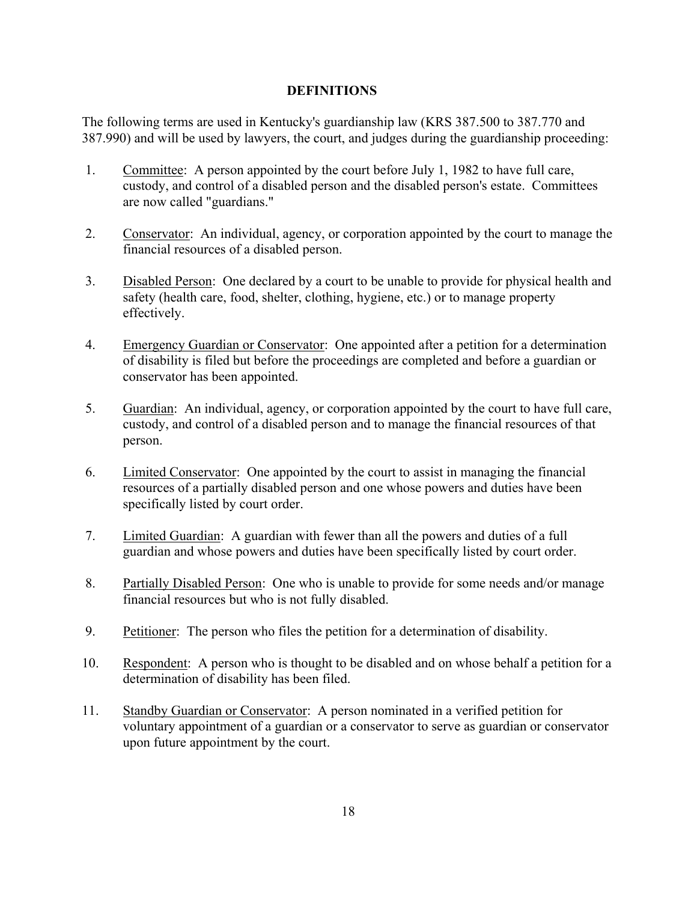## **DEFINITIONS**

The following terms are used in Kentucky's guardianship law (KRS 387.500 to 387.770 and 387.990) and will be used by lawyers, the court, and judges during the guardianship proceeding:

- 1. Committee: A person appointed by the court before July 1, 1982 to have full care, custody, and control of a disabled person and the disabled person's estate. Committees are now called "guardians."
- 2. Conservator: An individual, agency, or corporation appointed by the court to manage the financial resources of a disabled person.
- 3. Disabled Person: One declared by a court to be unable to provide for physical health and safety (health care, food, shelter, clothing, hygiene, etc.) or to manage property effectively.
- 4. Emergency Guardian or Conservator: One appointed after a petition for a determination of disability is filed but before the proceedings are completed and before a guardian or conservator has been appointed.
- 5. Guardian: An individual, agency, or corporation appointed by the court to have full care, custody, and control of a disabled person and to manage the financial resources of that person.
- 6. Limited Conservator: One appointed by the court to assist in managing the financial resources of a partially disabled person and one whose powers and duties have been specifically listed by court order.
- 7. Limited Guardian: A guardian with fewer than all the powers and duties of a full guardian and whose powers and duties have been specifically listed by court order.
- 8. Partially Disabled Person: One who is unable to provide for some needs and/or manage financial resources but who is not fully disabled.
- 9. Petitioner: The person who files the petition for a determination of disability.
- 10. Respondent: A person who is thought to be disabled and on whose behalf a petition for a determination of disability has been filed.
- 11. Standby Guardian or Conservator: A person nominated in a verified petition for voluntary appointment of a guardian or a conservator to serve as guardian or conservator upon future appointment by the court.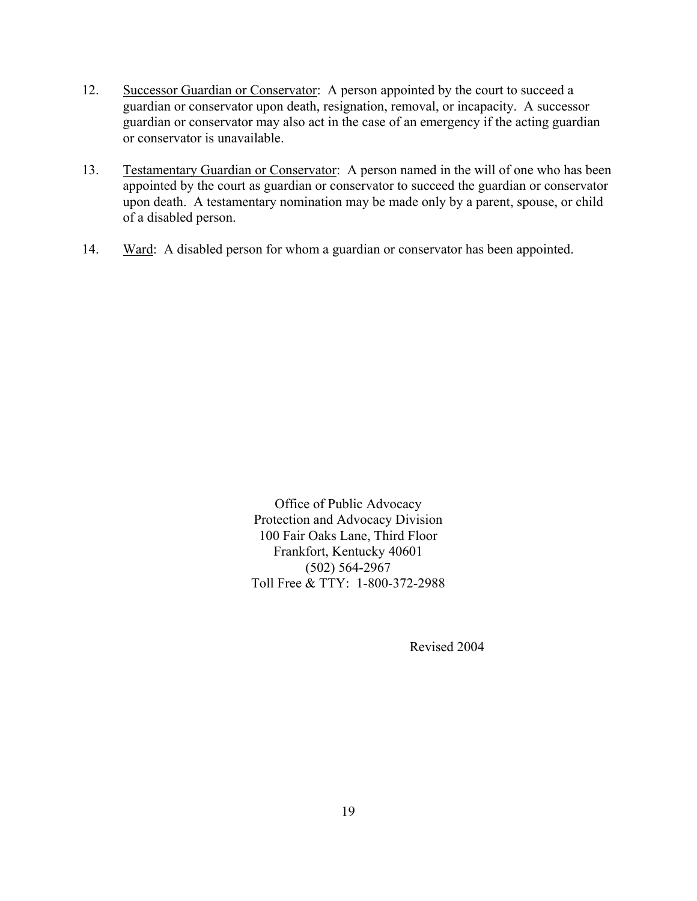- 12. Successor Guardian or Conservator: A person appointed by the court to succeed a guardian or conservator upon death, resignation, removal, or incapacity. A successor guardian or conservator may also act in the case of an emergency if the acting guardian or conservator is unavailable.
- 13. Testamentary Guardian or Conservator: A person named in the will of one who has been appointed by the court as guardian or conservator to succeed the guardian or conservator upon death. A testamentary nomination may be made only by a parent, spouse, or child of a disabled person.
- 14. Ward: A disabled person for whom a guardian or conservator has been appointed.

Office of Public Advocacy Protection and Advocacy Division 100 Fair Oaks Lane, Third Floor Frankfort, Kentucky 40601 (502) 564-2967 Toll Free & TTY: 1-800-372-2988

Revised 2004